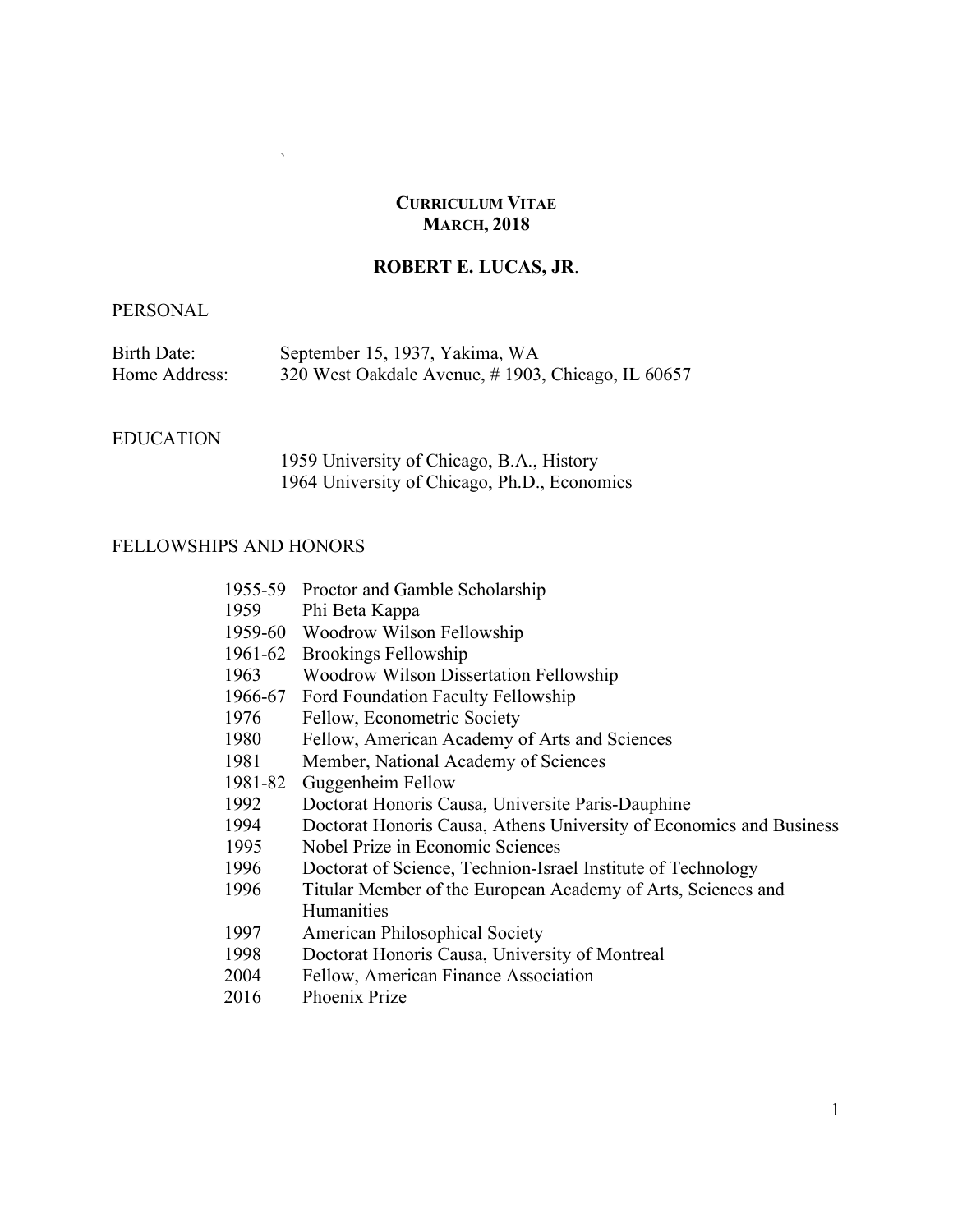#### **CURRICULUM VITAE MARCH, 2018**

# **ROBERT E. LUCAS, JR**.

## PERSONAL

| Birth Date:   | September 15, 1937, Yakima, WA                    |
|---------------|---------------------------------------------------|
| Home Address: | 320 West Oakdale Avenue, #1903, Chicago, IL 60657 |

#### EDUCATION

1959 University of Chicago, B.A., History 1964 University of Chicago, Ph.D., Economics

#### FELLOWSHIPS AND HONORS

 $\ddot{\phantom{0}}$ 

| 1955-59 | Proctor and Gamble Scholarship                                      |
|---------|---------------------------------------------------------------------|
| 1959    | Phi Beta Kappa                                                      |
|         | 1959-60 Woodrow Wilson Fellowship                                   |
| 1961-62 | <b>Brookings Fellowship</b>                                         |
| 1963    | <b>Woodrow Wilson Dissertation Fellowship</b>                       |
| 1966-67 | Ford Foundation Faculty Fellowship                                  |
| 1976    | Fellow, Econometric Society                                         |
| 1980    | Fellow, American Academy of Arts and Sciences                       |
| 1981    | Member, National Academy of Sciences                                |
| 1981-82 | Guggenheim Fellow                                                   |
| 1992    | Doctorat Honoris Causa, Universite Paris-Dauphine                   |
| 1994    | Doctorat Honoris Causa, Athens University of Economics and Business |
| 1995    | Nobel Prize in Economic Sciences                                    |
| 1996    | Doctorat of Science, Technion-Israel Institute of Technology        |
| 1996    | Titular Member of the European Academy of Arts, Sciences and        |
|         | <b>Humanities</b>                                                   |
| 1997    | American Philosophical Society                                      |
| 1998    | Doctorat Honoris Causa, University of Montreal                      |
| 2004    | Fellow, American Finance Association                                |
|         |                                                                     |

2016 Phoenix Prize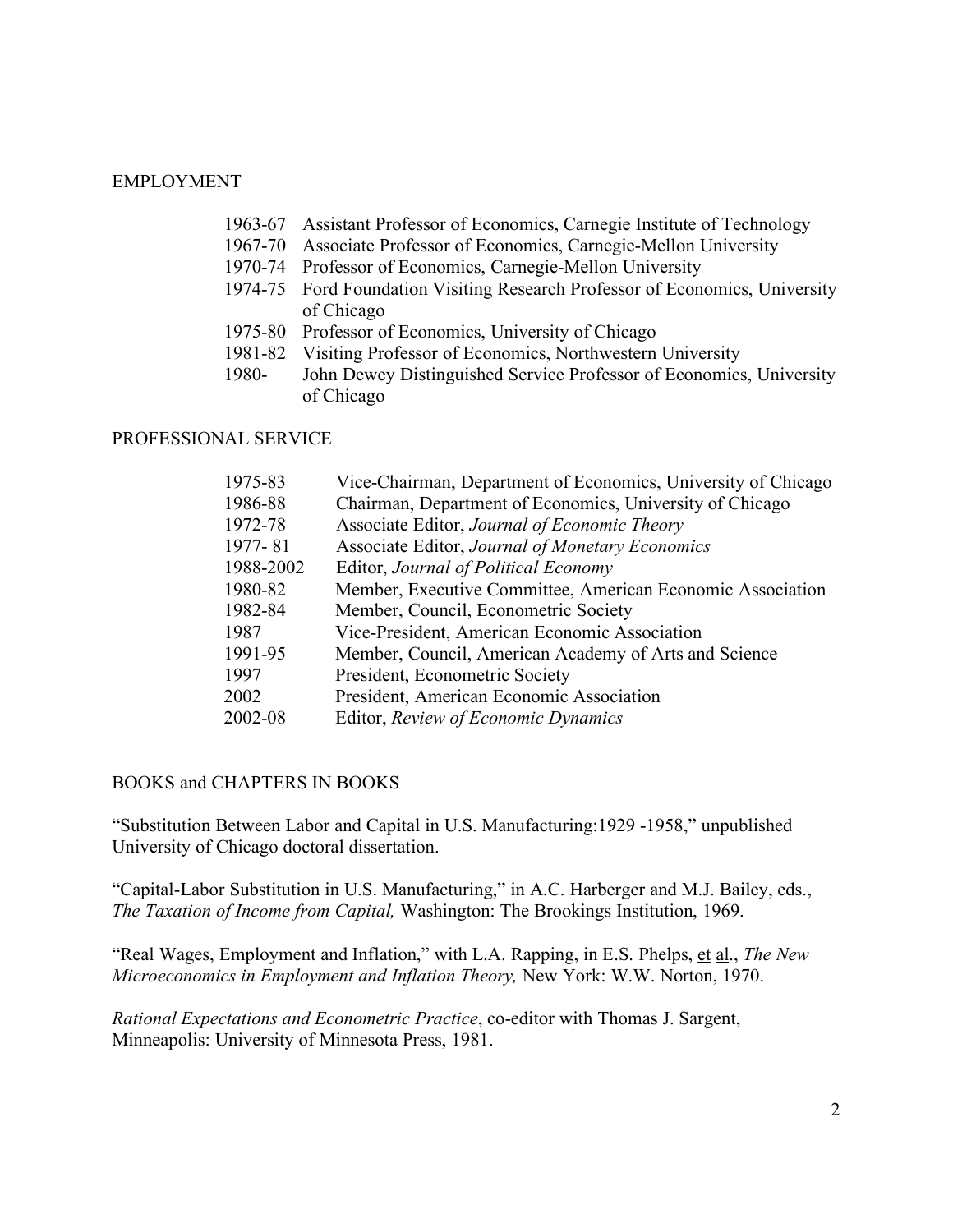## EMPLOYMENT

- 1963-67 Assistant Professor of Economics, Carnegie Institute of Technology
- 1967-70 Associate Professor of Economics, Carnegie-Mellon University
- 1970-74 Professor of Economics, Carnegie-Mellon University
- 1974-75 Ford Foundation Visiting Research Professor of Economics, University of Chicago
- 1975-80 Professor of Economics, University of Chicago
- 1981-82 Visiting Professor of Economics, Northwestern University
- 1980- John Dewey Distinguished Service Professor of Economics, University of Chicago

## PROFESSIONAL SERVICE

| 1975-83   | Vice-Chairman, Department of Economics, University of Chicago |
|-----------|---------------------------------------------------------------|
| 1986-88   | Chairman, Department of Economics, University of Chicago      |
| 1972-78   | Associate Editor, Journal of Economic Theory                  |
| 1977-81   | Associate Editor, Journal of Monetary Economics               |
| 1988-2002 | Editor, Journal of Political Economy                          |
| 1980-82   | Member, Executive Committee, American Economic Association    |
| 1982-84   | Member, Council, Econometric Society                          |
| 1987      | Vice-President, American Economic Association                 |
| 1991-95   | Member, Council, American Academy of Arts and Science         |
| 1997      | President, Econometric Society                                |
| 2002      | President, American Economic Association                      |
| 2002-08   | Editor, Review of Economic Dynamics                           |

#### BOOKS and CHAPTERS IN BOOKS

"Substitution Between Labor and Capital in U.S. Manufacturing:1929 -1958," unpublished University of Chicago doctoral dissertation.

"Capital-Labor Substitution in U.S. Manufacturing," in A.C. Harberger and M.J. Bailey, eds., *The Taxation of Income from Capital,* Washington: The Brookings Institution, 1969.

"Real Wages, Employment and Inflation," with L.A. Rapping, in E.S. Phelps, et al., *The New Microeconomics in Employment and Inflation Theory,* New York: W.W. Norton, 1970.

*Rational Expectations and Econometric Practice*, co-editor with Thomas J. Sargent, Minneapolis: University of Minnesota Press, 1981.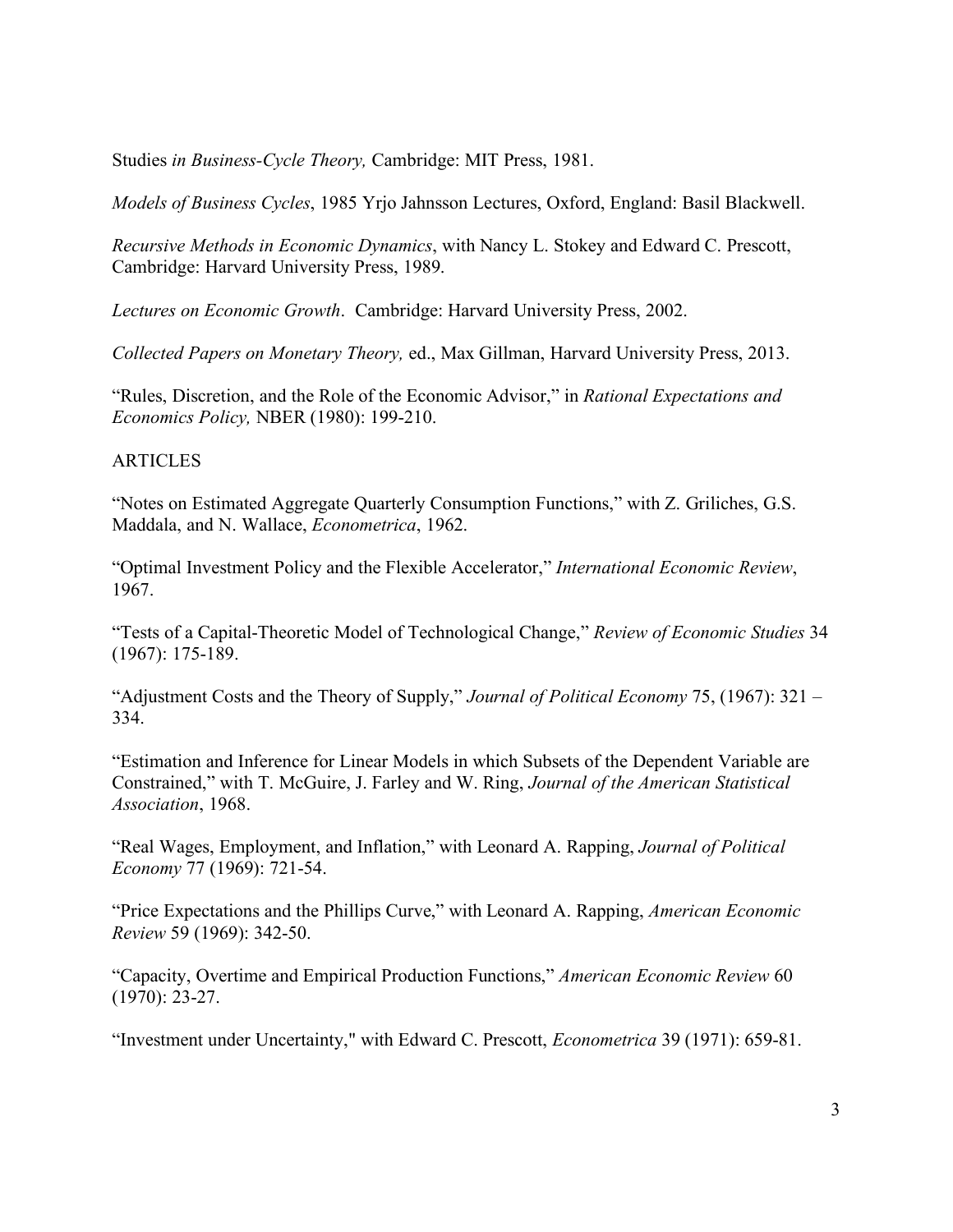Studies *in Business-Cycle Theory,* Cambridge: MIT Press, 1981.

*Models of Business Cycles*, 1985 Yrjo Jahnsson Lectures, Oxford, England: Basil Blackwell.

*Recursive Methods in Economic Dynamics*, with Nancy L. Stokey and Edward C. Prescott, Cambridge: Harvard University Press, 1989.

*Lectures on Economic Growth*. Cambridge: Harvard University Press, 2002.

*Collected Papers on Monetary Theory,* ed., Max Gillman, Harvard University Press, 2013.

"Rules, Discretion, and the Role of the Economic Advisor," in *Rational Expectations and Economics Policy,* NBER (1980): 199-210.

## **ARTICLES**

"Notes on Estimated Aggregate Quarterly Consumption Functions," with Z. Griliches, G.S. Maddala, and N. Wallace, *Econometrica*, 1962.

"Optimal Investment Policy and the Flexible Accelerator," *International Economic Review*, 1967.

"Tests of a Capital-Theoretic Model of Technological Change," *Review of Economic Studies* 34 (1967): 175-189.

"Adjustment Costs and the Theory of Supply," *Journal of Political Economy* 75, (1967): 321 – 334.

"Estimation and Inference for Linear Models in which Subsets of the Dependent Variable are Constrained," with T. McGuire, J. Farley and W. Ring, *Journal of the American Statistical Association*, 1968.

"Real Wages, Employment, and Inflation," with Leonard A. Rapping, *Journal of Political Economy* 77 (1969): 721-54.

"Price Expectations and the Phillips Curve," with Leonard A. Rapping, *American Economic Review* 59 (1969): 342-50.

"Capacity, Overtime and Empirical Production Functions," *American Economic Review* 60 (1970): 23-27.

"Investment under Uncertainty," with Edward C. Prescott, *Econometrica* 39 (1971): 659-81.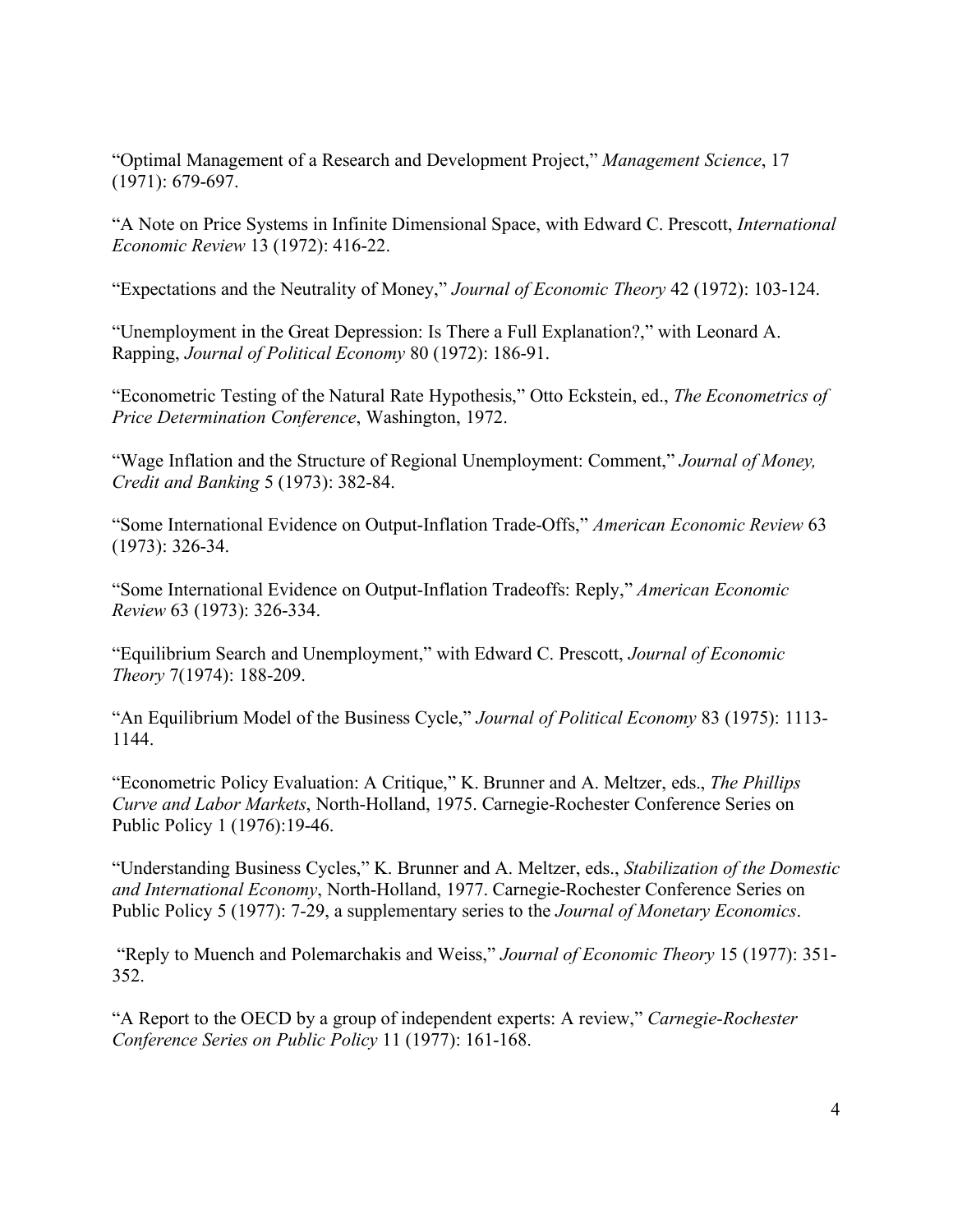"Optimal Management of a Research and Development Project," *Management Science*, 17 (1971): 679-697.

"A Note on Price Systems in Infinite Dimensional Space, with Edward C. Prescott, *International Economic Review* 13 (1972): 416-22.

"Expectations and the Neutrality of Money," *Journal of Economic Theory* 42 (1972): 103-124.

"Unemployment in the Great Depression: Is There a Full Explanation?," with Leonard A. Rapping, *Journal of Political Economy* 80 (1972): 186-91.

"Econometric Testing of the Natural Rate Hypothesis," Otto Eckstein, ed., *The Econometrics of Price Determination Conference*, Washington, 1972.

"Wage Inflation and the Structure of Regional Unemployment: Comment," *Journal of Money, Credit and Banking* 5 (1973): 382-84.

"Some International Evidence on Output-Inflation Trade-Offs," *American Economic Review* 63 (1973): 326-34.

"Some International Evidence on Output-Inflation Tradeoffs: Reply," *American Economic Review* 63 (1973): 326-334.

"Equilibrium Search and Unemployment," with Edward C. Prescott, *Journal of Economic Theory* 7(1974): 188-209.

"An Equilibrium Model of the Business Cycle," *Journal of Political Economy* 83 (1975): 1113- 1144.

"Econometric Policy Evaluation: A Critique," K. Brunner and A. Meltzer, eds., *The Phillips Curve and Labor Markets*, North-Holland, 1975. Carnegie-Rochester Conference Series on Public Policy 1 (1976):19-46.

"Understanding Business Cycles," K. Brunner and A. Meltzer, eds., *Stabilization of the Domestic and International Economy*, North-Holland, 1977. Carnegie-Rochester Conference Series on Public Policy 5 (1977): 7-29, a supplementary series to the *Journal of Monetary Economics*.

"Reply to Muench and Polemarchakis and Weiss," *Journal of Economic Theory* 15 (1977): 351- 352.

"A Report to the OECD by a group of independent experts: A review," *Carnegie-Rochester Conference Series on Public Policy* 11 (1977): 161-168.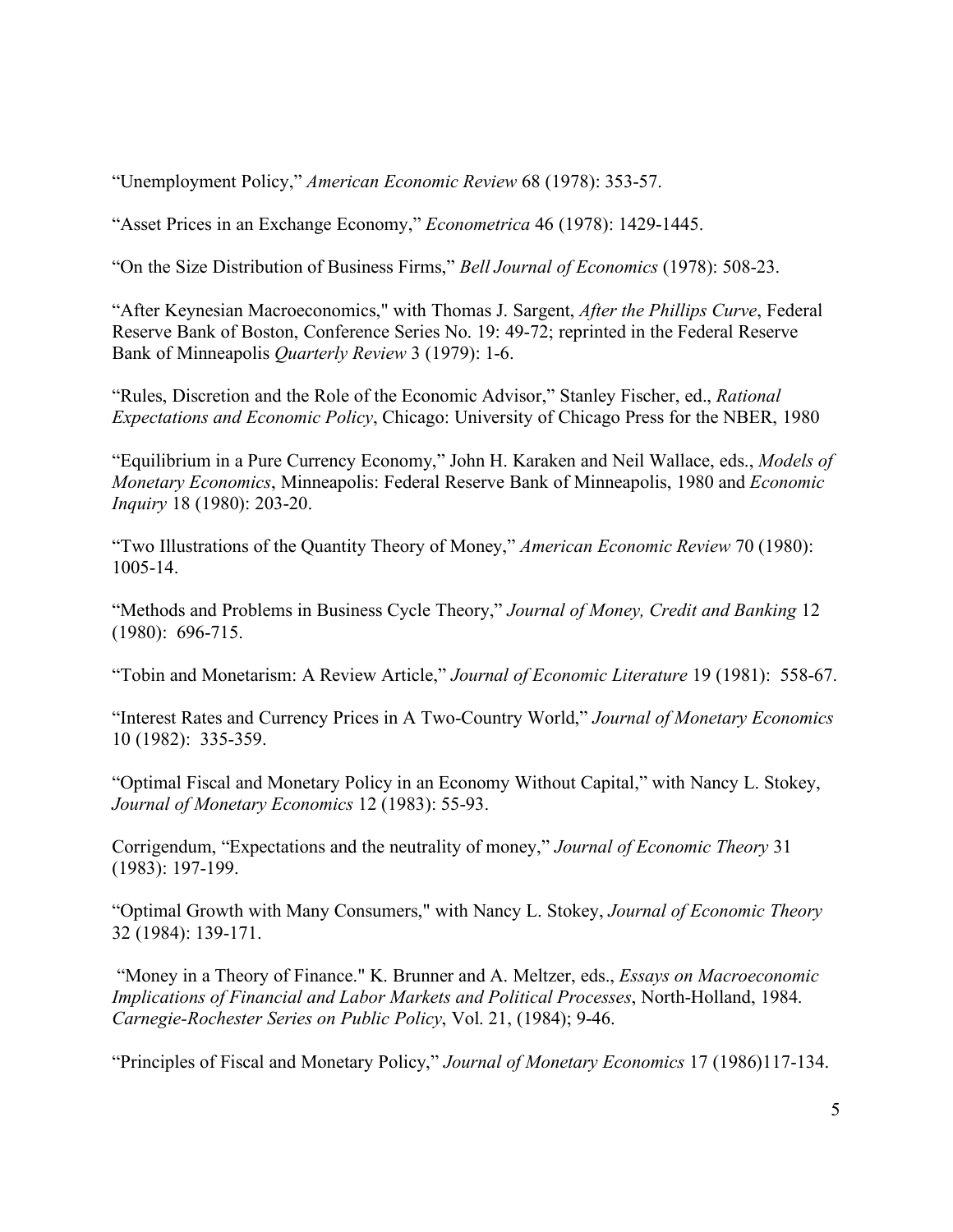"Unemployment Policy," *American Economic Review* 68 (1978): 353-57.

"Asset Prices in an Exchange Economy," *Econometrica* 46 (1978): 1429-1445.

"On the Size Distribution of Business Firms," *Bell Journal of Economics* (1978): 508-23.

"After Keynesian Macroeconomics," with Thomas J. Sargent, *After the Phillips Curve*, Federal Reserve Bank of Boston, Conference Series No. 19: 49-72; reprinted in the Federal Reserve Bank of Minneapolis *Quarterly Review* 3 (1979): 1-6.

"Rules, Discretion and the Role of the Economic Advisor," Stanley Fischer, ed., *Rational Expectations and Economic Policy*, Chicago: University of Chicago Press for the NBER, 1980

"Equilibrium in a Pure Currency Economy," John H. Karaken and Neil Wallace, eds., *Models of Monetary Economics*, Minneapolis: Federal Reserve Bank of Minneapolis, 1980 and *Economic Inquiry* 18 (1980): 203-20.

"Two Illustrations of the Quantity Theory of Money," *American Economic Review* 70 (1980): 1005-14.

"Methods and Problems in Business Cycle Theory," *Journal of Money, Credit and Banking* 12 (1980): 696-715.

"Tobin and Monetarism: A Review Article," *Journal of Economic Literature* 19 (1981): 558-67.

"Interest Rates and Currency Prices in A Two-Country World," *Journal of Monetary Economics* 10 (1982): 335-359.

"Optimal Fiscal and Monetary Policy in an Economy Without Capital," with Nancy L. Stokey, *Journal of Monetary Economics* 12 (1983): 55-93.

Corrigendum, "Expectations and the neutrality of money," *Journal of Economic Theory* 31 (1983): 197-199.

"Optimal Growth with Many Consumers," with Nancy L. Stokey, *Journal of Economic Theory*  32 (1984): 139-171.

"Money in a Theory of Finance." K. Brunner and A. Meltzer, eds., *Essays on Macroeconomic Implications of Financial and Labor Markets and Political Processes*, North-Holland, 1984. *Carnegie-Rochester Series on Public Policy*, Vol. 21, (1984); 9-46.

"Principles of Fiscal and Monetary Policy," *Journal of Monetary Economics* 17 (1986)117-134.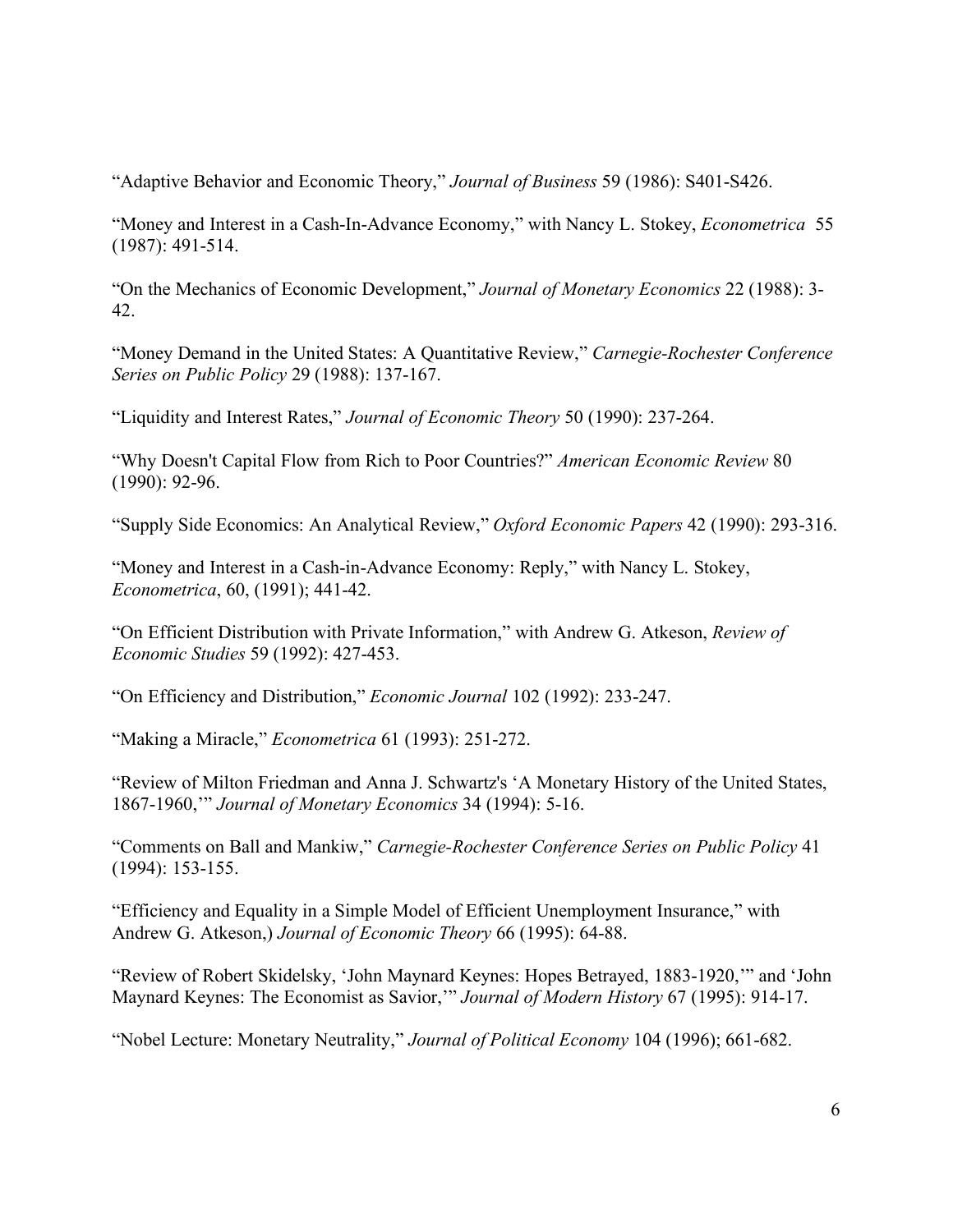"Adaptive Behavior and Economic Theory," *Journal of Business* 59 (1986): S401-S426.

"Money and Interest in a Cash-In-Advance Economy," with Nancy L. Stokey, *Econometrica* 55 (1987): 491-514.

"On the Mechanics of Economic Development," *Journal of Monetary Economics* 22 (1988): 3- 42.

"Money Demand in the United States: A Quantitative Review," *Carnegie-Rochester Conference Series on Public Policy* 29 (1988): 137-167.

"Liquidity and Interest Rates," *Journal of Economic Theory* 50 (1990): 237-264.

"Why Doesn't Capital Flow from Rich to Poor Countries?" *American Economic Review* 80 (1990): 92-96.

"Supply Side Economics: An Analytical Review," *Oxford Economic Papers* 42 (1990): 293-316.

"Money and Interest in a Cash-in-Advance Economy: Reply," with Nancy L. Stokey, *Econometrica*, 60, (1991); 441-42.

"On Efficient Distribution with Private Information," with Andrew G. Atkeson, *Review of Economic Studies* 59 (1992): 427-453.

"On Efficiency and Distribution," *Economic Journal* 102 (1992): 233-247.

"Making a Miracle," *Econometrica* 61 (1993): 251-272.

"Review of Milton Friedman and Anna J. Schwartz's 'A Monetary History of the United States, 1867-1960,'" *Journal of Monetary Economics* 34 (1994): 5-16.

"Comments on Ball and Mankiw," *Carnegie-Rochester Conference Series on Public Policy* 41 (1994): 153-155.

"Efficiency and Equality in a Simple Model of Efficient Unemployment Insurance," with Andrew G. Atkeson,) *Journal of Economic Theory* 66 (1995): 64-88.

"Review of Robert Skidelsky, 'John Maynard Keynes: Hopes Betrayed, 1883-1920,'" and 'John Maynard Keynes: The Economist as Savior,'" *Journal of Modern History* 67 (1995): 914-17.

"Nobel Lecture: Monetary Neutrality," *Journal of Political Economy* 104 (1996); 661-682.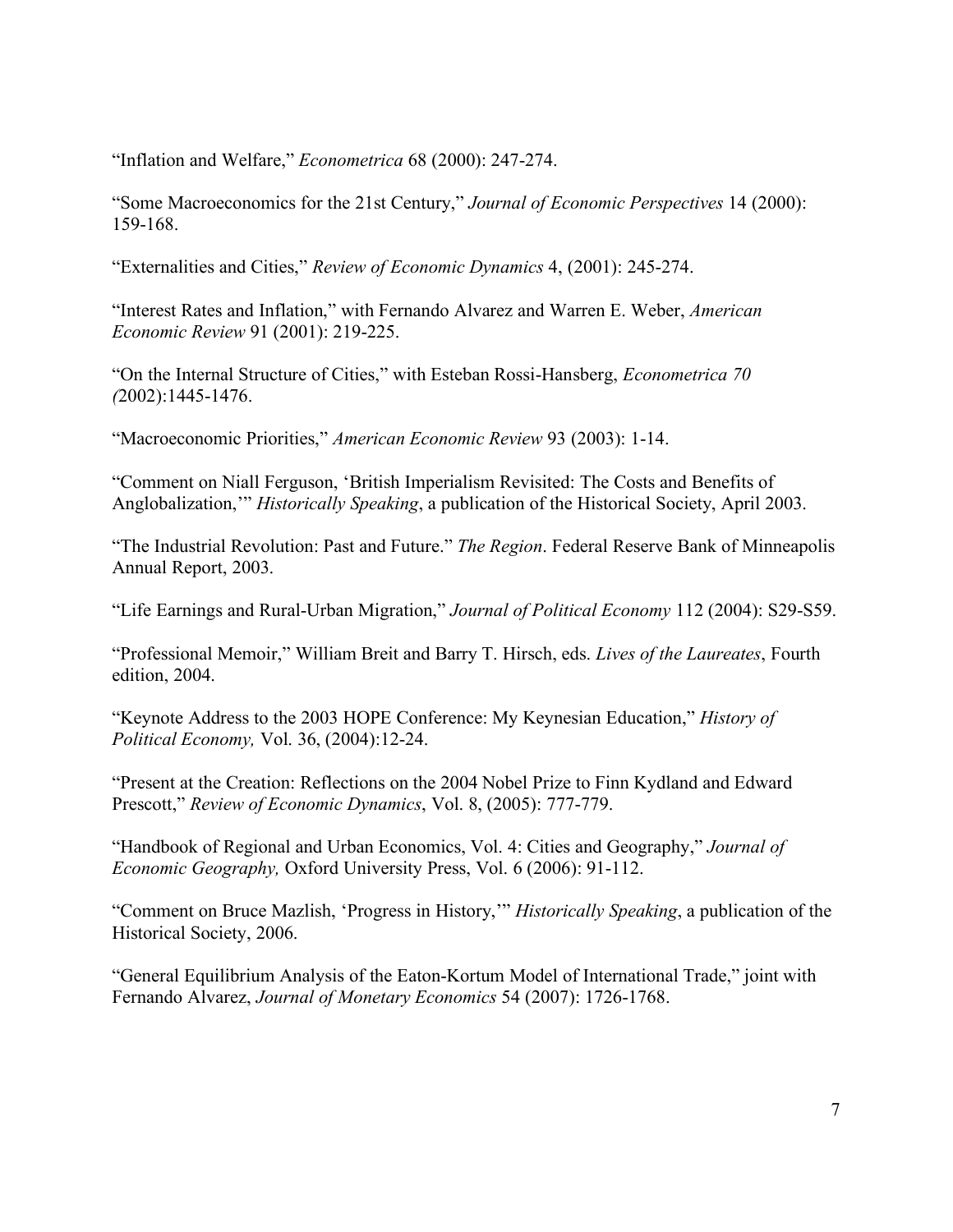"Inflation and Welfare," *Econometrica* 68 (2000): 247-274.

"Some Macroeconomics for the 21st Century," *Journal of Economic Perspectives* 14 (2000): 159-168.

"Externalities and Cities," *Review of Economic Dynamics* 4, (2001): 245-274.

"Interest Rates and Inflation," with Fernando Alvarez and Warren E. Weber, *American Economic Review* 91 (2001): 219-225.

"On the Internal Structure of Cities," with Esteban Rossi-Hansberg, *Econometrica 70 (*2002):1445-1476.

"Macroeconomic Priorities," *American Economic Review* 93 (2003): 1-14.

"Comment on Niall Ferguson, 'British Imperialism Revisited: The Costs and Benefits of Anglobalization,'" *Historically Speaking*, a publication of the Historical Society, April 2003.

"The Industrial Revolution: Past and Future." *The Region*. Federal Reserve Bank of Minneapolis Annual Report, 2003.

"Life Earnings and Rural-Urban Migration," *Journal of Political Economy* 112 (2004): S29-S59.

"Professional Memoir," William Breit and Barry T. Hirsch, eds. *Lives of the Laureates*, Fourth edition, 2004.

"Keynote Address to the 2003 HOPE Conference: My Keynesian Education," *History of Political Economy,* Vol. 36, (2004):12-24.

"Present at the Creation: Reflections on the 2004 Nobel Prize to Finn Kydland and Edward Prescott," *Review of Economic Dynamics*, Vol. 8, (2005): 777-779.

"Handbook of Regional and Urban Economics, Vol. 4: Cities and Geography," *Journal of Economic Geography,* Oxford University Press, Vol. 6 (2006): 91-112.

"Comment on Bruce Mazlish, 'Progress in History,'" *Historically Speaking*, a publication of the Historical Society, 2006.

"General Equilibrium Analysis of the Eaton-Kortum Model of International Trade," joint with Fernando Alvarez, *Journal of Monetary Economics* 54 (2007): 1726-1768.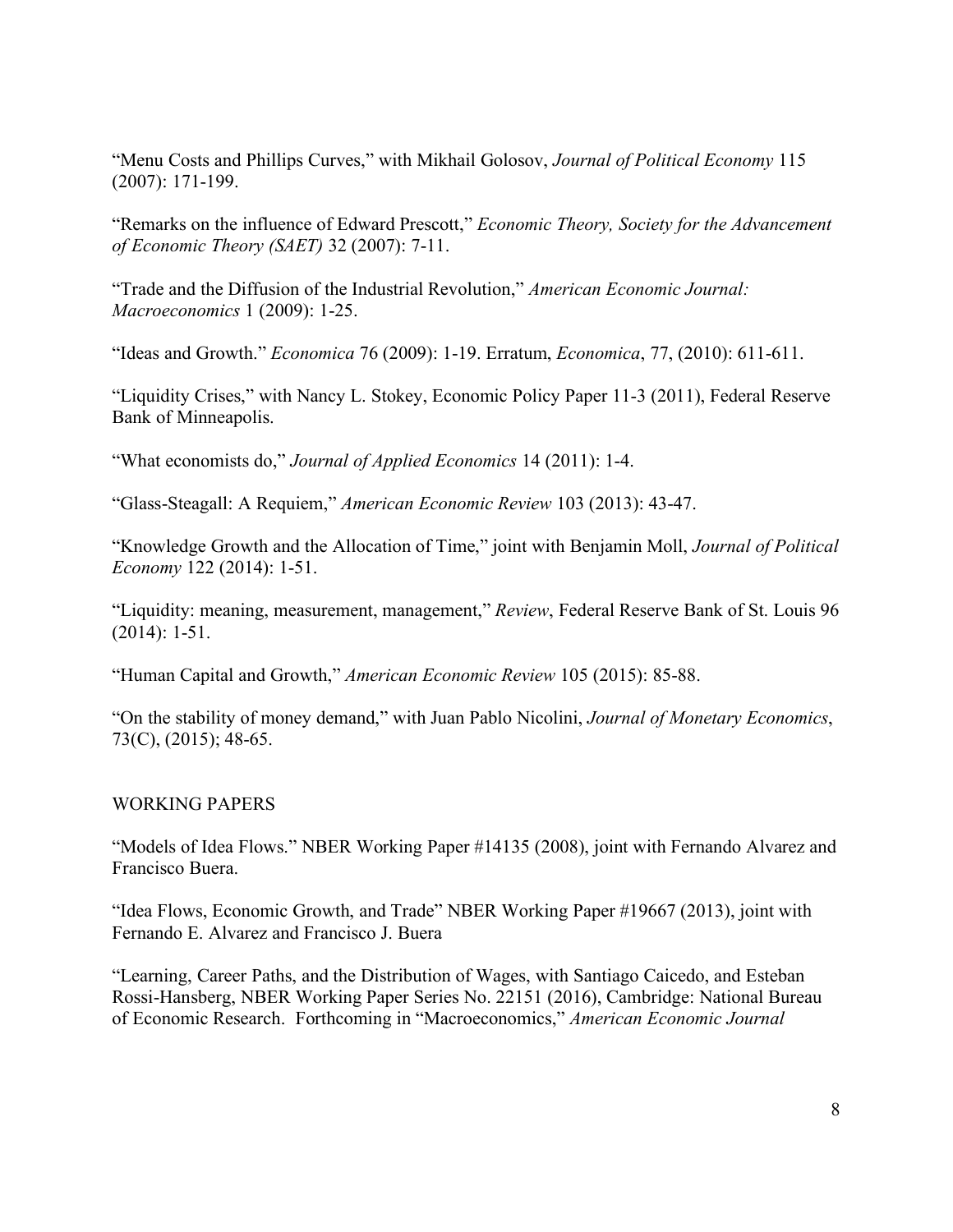"Menu Costs and Phillips Curves," with Mikhail Golosov, *Journal of Political Economy* 115 (2007): 171-199.

"Remarks on the influence of Edward Prescott," *Economic Theory, Society for the Advancement of Economic Theory (SAET)* 32 (2007): 7-11.

"Trade and the Diffusion of the Industrial Revolution," *American Economic Journal: Macroeconomics* 1 (2009): 1-25.

"Ideas and Growth." *Economica* 76 (2009): 1-19. Erratum, *Economica*, 77, (2010): 611-611.

"Liquidity Crises," with Nancy L. Stokey, Economic Policy Paper 11-3 (2011), Federal Reserve Bank of Minneapolis.

"What economists do," *Journal of Applied Economics* 14 (2011): 1-4.

"Glass-Steagall: A Requiem," *American Economic Review* 103 (2013): 43-47.

"Knowledge Growth and the Allocation of Time," joint with Benjamin Moll, *Journal of Political Economy* 122 (2014): 1-51.

"Liquidity: meaning, measurement, management," *Review*, Federal Reserve Bank of St. Louis 96 (2014): 1-51.

"Human Capital and Growth," *American Economic Review* 105 (2015): 85-88.

"On the stability of money demand," with Juan Pablo Nicolini, *Journal of Monetary Economics*, 73(C), (2015); 48-65.

## WORKING PAPERS

"Models of Idea Flows." NBER Working Paper #14135 (2008), joint with Fernando Alvarez and Francisco Buera.

"Idea Flows, Economic Growth, and Trade" NBER Working Paper #19667 (2013), joint with Fernando E. Alvarez and Francisco J. Buera

"Learning, Career Paths, and the Distribution of Wages, with Santiago Caicedo, and Esteban Rossi-Hansberg, NBER Working Paper Series No. 22151 (2016), Cambridge: National Bureau of Economic Research. Forthcoming in "Macroeconomics," *American Economic Journal*